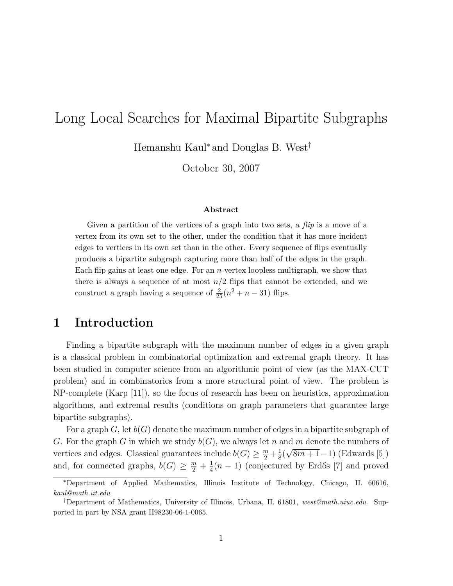# Long Local Searches for Maximal Bipartite Subgraphs

Hemanshu Kaul<sup>∗</sup> and Douglas B. West†

October 30, 2007

#### Abstract

Given a partition of the vertices of a graph into two sets, a *flip* is a move of a vertex from its own set to the other, under the condition that it has more incident edges to vertices in its own set than in the other. Every sequence of flips eventually produces a bipartite subgraph capturing more than half of the edges in the graph. Each flip gains at least one edge. For an  $n$ -vertex loopless multigraph, we show that there is always a sequence of at most  $n/2$  flips that cannot be extended, and we construct a graph having a sequence of  $\frac{2}{25}(n^2 + n - 31)$  flips.

### 1 Introduction

Finding a bipartite subgraph with the maximum number of edges in a given graph is a classical problem in combinatorial optimization and extremal graph theory. It has been studied in computer science from an algorithmic point of view (as the MAX-CUT problem) and in combinatorics from a more structural point of view. The problem is NP-complete (Karp [11]), so the focus of research has been on heuristics, approximation algorithms, and extremal results (conditions on graph parameters that guarantee large bipartite subgraphs).

For a graph G, let  $b(G)$  denote the maximum number of edges in a bipartite subgraph of G. For the graph G in which we study  $b(G)$ , we always let n and m denote the numbers of vertices and edges. Classical guarantees include  $b(G) \geq \frac{m}{2} + \frac{1}{8}$  $\frac{1}{8}(\sqrt{8m+1}-1)$  (Edwards [5]) and, for connected graphs,  $b(G) \geq \frac{m}{2} + \frac{1}{4}$  $\frac{1}{4}(n-1)$  (conjectured by Erdős [7] and proved

<sup>∗</sup>Department of Applied Mathematics, Illinois Institute of Technology, Chicago, IL 60616, kaul@math.iit.edu

<sup>&</sup>lt;sup>†</sup>Department of Mathematics, University of Illinois, Urbana, IL 61801, west@math.uiuc.edu. Supported in part by NSA grant H98230-06-1-0065.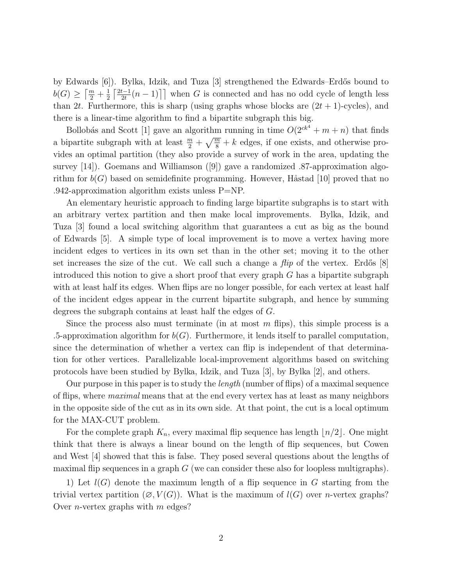by Edwards [6]). Bylka, Idzik, and Tuza [3] strengthened the Edwards–Erdős bound to  $b(G) \geq \left\lceil \frac{m}{2} + \frac{1}{2} \right\rceil$  $rac{1}{2}$   $rac{2t-1}{2t}$  $\left[\frac{t-1}{2t}(n-1)\right]$  when G is connected and has no odd cycle of length less than 2t. Furthermore, this is sharp (using graphs whose blocks are  $(2t + 1)$ -cycles), and there is a linear-time algorithm to find a bipartite subgraph this big.

Bollobás and Scott [1] gave an algorithm running in time  $O(2^{ck^4} + m + n)$  that finds a bipartite subgraph with at least  $\frac{m}{2} + \sqrt{\frac{m}{8}} + k$  edges, if one exists, and otherwise provides an optimal partition (they also provide a survey of work in the area, updating the survey [14]). Goemans and Williamson ([9]) gave a randomized .87-approximation algorithm for  $b(G)$  based on semidefinite programming. However, Håstad [10] proved that no .942-approximation algorithm exists unless P=NP.

An elementary heuristic approach to finding large bipartite subgraphs is to start with an arbitrary vertex partition and then make local improvements. Bylka, Idzik, and Tuza [3] found a local switching algorithm that guarantees a cut as big as the bound of Edwards [5]. A simple type of local improvement is to move a vertex having more incident edges to vertices in its own set than in the other set; moving it to the other set increases the size of the cut. We call such a change a  $flip$  of the vertex. Erdős [8] introduced this notion to give a short proof that every graph  $G$  has a bipartite subgraph with at least half its edges. When flips are no longer possible, for each vertex at least half of the incident edges appear in the current bipartite subgraph, and hence by summing degrees the subgraph contains at least half the edges of G.

Since the process also must terminate (in at most  $m$  flips), this simple process is a .5-approximation algorithm for  $b(G)$ . Furthermore, it lends itself to parallel computation, since the determination of whether a vertex can flip is independent of that determination for other vertices. Parallelizable local-improvement algorithms based on switching protocols have been studied by Bylka, Idzik, and Tuza [3], by Bylka [2], and others.

Our purpose in this paper is to study the *length* (number of flips) of a maximal sequence of flips, where maximal means that at the end every vertex has at least as many neighbors in the opposite side of the cut as in its own side. At that point, the cut is a local optimum for the MAX-CUT problem.

For the complete graph  $K_n$ , every maximal flip sequence has length  $\lfloor n/2 \rfloor$ . One might think that there is always a linear bound on the length of flip sequences, but Cowen and West [4] showed that this is false. They posed several questions about the lengths of maximal flip sequences in a graph  $G$  (we can consider these also for loopless multigraphs).

1) Let  $l(G)$  denote the maximum length of a flip sequence in G starting from the trivial vertex partition  $(\emptyset, V(G))$ . What is the maximum of  $l(G)$  over *n*-vertex graphs? Over *n*-vertex graphs with  $m$  edges?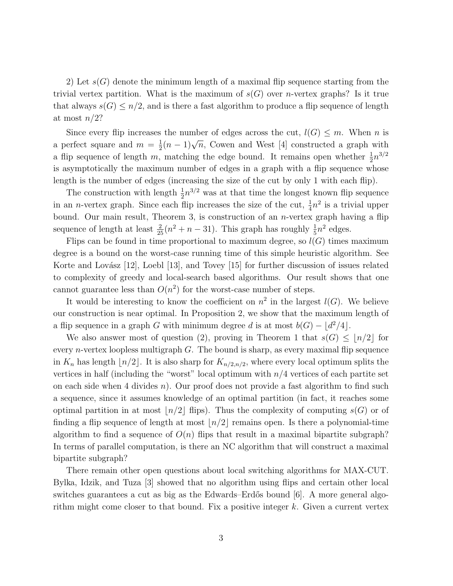2) Let  $s(G)$  denote the minimum length of a maximal flip sequence starting from the trivial vertex partition. What is the maximum of  $s(G)$  over *n*-vertex graphs? Is it true that always  $s(G) \leq n/2$ , and is there a fast algorithm to produce a flip sequence of length at most  $n/2$ ?

Since every flip increases the number of edges across the cut,  $l(G) \leq m$ . When n is a perfect square and  $m = \frac{1}{2}$  $\frac{1}{2}(n-1)\sqrt{n}$ , Cowen and West [4] constructed a graph with a flip sequence of length m, matching the edge bound. It remains open whether  $\frac{1}{2}n^{3/2}$ is asymptotically the maximum number of edges in a graph with a flip sequence whose length is the number of edges (increasing the size of the cut by only 1 with each flip).

The construction with length  $\frac{1}{2}n^{3/2}$  was at that time the longest known flip sequence in an *n*-vertex graph. Since each flip increases the size of the cut,  $\frac{1}{4}n^2$  is a trivial upper bound. Our main result, Theorem 3, is construction of an n-vertex graph having a flip sequence of length at least  $\frac{2}{25}(n^2 + n - 31)$ . This graph has roughly  $\frac{1}{5}n^2$  edges.

Flips can be found in time proportional to maximum degree, so  $l(G)$  times maximum degree is a bound on the worst-case running time of this simple heuristic algorithm. See Korte and Lovász  $[12]$ , Loebl  $[13]$ , and Tovey  $[15]$  for further discussion of issues related to complexity of greedy and local-search based algorithms. Our result shows that one cannot guarantee less than  $O(n^2)$  for the worst-case number of steps.

It would be interesting to know the coefficient on  $n^2$  in the largest  $l(G)$ . We believe our construction is near optimal. In Proposition 2, we show that the maximum length of a flip sequence in a graph G with minimum degree d is at most  $b(G) - \lfloor d^2/4 \rfloor$ .

We also answer most of question (2), proving in Theorem 1 that  $s(G) \leq |n/2|$  for every *n*-vertex loopless multigraph  $G$ . The bound is sharp, as every maximal flip sequence in  $K_n$  has length  $\lfloor n/2 \rfloor$ . It is also sharp for  $K_{n/2,n/2}$ , where every local optimum splits the vertices in half (including the "worst" local optimum with  $n/4$  vertices of each partite set on each side when 4 divides  $n$ ). Our proof does not provide a fast algorithm to find such a sequence, since it assumes knowledge of an optimal partition (in fact, it reaches some optimal partition in at most  $\lfloor n/2 \rfloor$  flips). Thus the complexity of computing  $s(G)$  or of finding a flip sequence of length at most  $\lfloor n/2 \rfloor$  remains open. Is there a polynomial-time algorithm to find a sequence of  $O(n)$  flips that result in a maximal bipartite subgraph? In terms of parallel computation, is there an NC algorithm that will construct a maximal bipartite subgraph?

There remain other open questions about local switching algorithms for MAX-CUT. Bylka, Idzik, and Tuza [3] showed that no algorithm using flips and certain other local switches guarantees a cut as big as the Edwards–Erdős bound  $[6]$ . A more general algorithm might come closer to that bound. Fix a positive integer  $k$ . Given a current vertex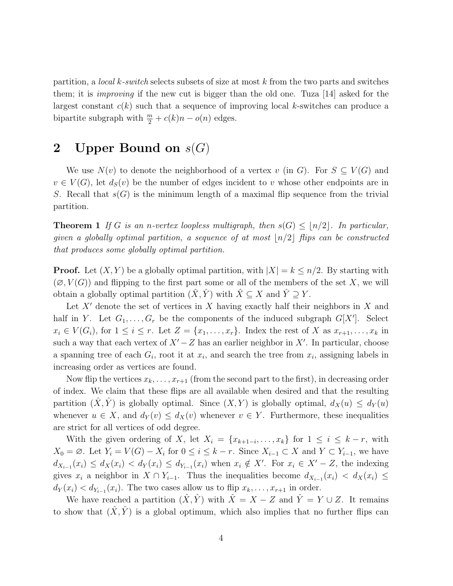partition, a *local k-switch* selects subsets of size at most k from the two parts and switches them; it is improving if the new cut is bigger than the old one. Tuza [14] asked for the largest constant  $c(k)$  such that a sequence of improving local k-switches can produce a bipartite subgraph with  $\frac{m}{2} + c(k)n - o(n)$  edges.

### 2 Upper Bound on  $s(G)$

We use  $N(v)$  to denote the neighborhood of a vertex v (in G). For  $S \subseteq V(G)$  and  $v \in V(G)$ , let  $d_S(v)$  be the number of edges incident to v whose other endpoints are in S. Recall that  $s(G)$  is the minimum length of a maximal flip sequence from the trivial partition.

**Theorem 1** If G is an n-vertex loopless multigraph, then  $s(G) \leq |n/2|$ . In particular, given a globally optimal partition, a sequence of at most  $\lfloor n/2 \rfloor$  flips can be constructed that produces some globally optimal partition.

**Proof.** Let  $(X, Y)$  be a globally optimal partition, with  $|X| = k \leq n/2$ . By starting with  $(\emptyset, V(G))$  and flipping to the first part some or all of the members of the set X, we will obtain a globally optimal partition  $(\hat{X}, \hat{Y})$  with  $\hat{X} \subseteq X$  and  $\hat{Y} \supseteq Y$ .

Let  $X'$  denote the set of vertices in X having exactly half their neighbors in X and half in Y. Let  $G_1, \ldots, G_r$  be the components of the induced subgraph  $G[X']$ . Select  $x_i \in V(G_i)$ , for  $1 \leq i \leq r$ . Let  $Z = \{x_1, \ldots, x_r\}$ . Index the rest of X as  $x_{r+1}, \ldots, x_k$  in such a way that each vertex of  $X' - Z$  has an earlier neighbor in  $X'$ . In particular, choose a spanning tree of each  $G_i$ , root it at  $x_i$ , and search the tree from  $x_i$ , assigning labels in increasing order as vertices are found.

Now flip the vertices  $x_k, \ldots, x_{r+1}$  (from the second part to the first), in decreasing order of index. We claim that these flips are all available when desired and that the resulting partition  $(X, Y)$  is globally optimal. Since  $(X, Y)$  is globally optimal,  $d_X(u) \leq d_Y(u)$ whenever  $u \in X$ , and  $d_Y(v) \leq d_X(v)$  whenever  $v \in Y$ . Furthermore, these inequalities are strict for all vertices of odd degree.

With the given ordering of X, let  $X_i = \{x_{k+1-i}, \ldots, x_k\}$  for  $1 \leq i \leq k-r$ , with  $X_0 = \emptyset$ . Let  $Y_i = V(G) - X_i$  for  $0 \le i \le k - r$ . Since  $X_{i-1} \subset X$  and  $Y \subset Y_{i-1}$ , we have  $d_{X_{i-1}}(x_i) \leq d_X(x_i) < d_Y(x_i) \leq d_{Y_{i-1}}(x_i)$  when  $x_i \notin X'$ . For  $x_i \in X' - Z$ , the indexing gives  $x_i$  a neighbor in  $X \cap Y_{i-1}$ . Thus the inequalities become  $d_{X_{i-1}}(x_i) < d_X(x_i) \leq$  $d_Y(x_i) < d_{Y_{i-1}}(x_i)$ . The two cases allow us to flip  $x_k, \ldots, x_{r+1}$  in order.

We have reached a partition  $(\hat{X}, \hat{Y})$  with  $\hat{X} = X - Z$  and  $\hat{Y} = Y \cup Z$ . It remains to show that  $(\hat{X}, \hat{Y})$  is a global optimum, which also implies that no further flips can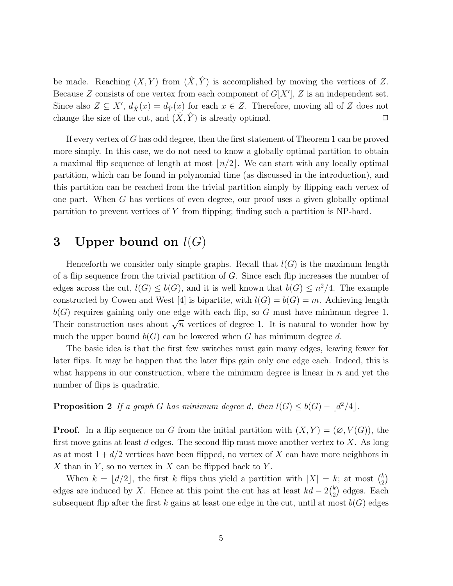be made. Reaching  $(X, Y)$  from  $(\hat{X}, \hat{Y})$  is accomplished by moving the vertices of Z. Because Z consists of one vertex from each component of  $G[X']$ , Z is an independent set. Since also  $Z \subseteq X'$ ,  $d_{\hat{X}}(x) = d_{\hat{Y}}(x)$  for each  $x \in Z$ . Therefore, moving all of Z does not change the size of the cut, and  $(X, \hat{Y})$  is already optimal.

If every vertex of G has odd degree, then the first statement of Theorem 1 can be proved more simply. In this case, we do not need to know a globally optimal partition to obtain a maximal flip sequence of length at most  $\lfloor n/2 \rfloor$ . We can start with any locally optimal partition, which can be found in polynomial time (as discussed in the introduction), and this partition can be reached from the trivial partition simply by flipping each vertex of one part. When G has vertices of even degree, our proof uses a given globally optimal partition to prevent vertices of Y from flipping; finding such a partition is NP-hard.

## 3 Upper bound on  $l(G)$

Henceforth we consider only simple graphs. Recall that  $l(G)$  is the maximum length of a flip sequence from the trivial partition of G. Since each flip increases the number of edges across the cut,  $l(G) \leq b(G)$ , and it is well known that  $b(G) \leq n^2/4$ . The example constructed by Cowen and West [4] is bipartite, with  $l(G) = b(G) = m$ . Achieving length  $b(G)$  requires gaining only one edge with each flip, so G must have minimum degree 1. Their construction uses about  $\sqrt{n}$  vertices of degree 1. It is natural to wonder how by much the upper bound  $b(G)$  can be lowered when G has minimum degree d.

The basic idea is that the first few switches must gain many edges, leaving fewer for later flips. It may be happen that the later flips gain only one edge each. Indeed, this is what happens in our construction, where the minimum degree is linear in  $n$  and yet the number of flips is quadratic.

**Proposition 2** If a graph G has minimum degree d, then  $l(G) \leq b(G) - \lfloor d^2/4 \rfloor$ .

**Proof.** In a flip sequence on G from the initial partition with  $(X, Y) = (\emptyset, V(G))$ , the first move gains at least d edges. The second flip must move another vertex to X. As long as at most  $1 + d/2$  vertices have been flipped, no vertex of X can have more neighbors in X than in Y, so no vertex in X can be flipped back to Y.

When  $k = \lfloor d/2 \rfloor$ , the first k flips thus yield a partition with  $|X| = k$ ; at most  $\binom{k}{2}$  $\binom{k}{2}$ edges are induced by X. Hence at this point the cut has at least  $kd - 2\binom{k}{2}$  $_{2}^{k}$ ) edges. Each subsequent flip after the first k gains at least one edge in the cut, until at most  $b(G)$  edges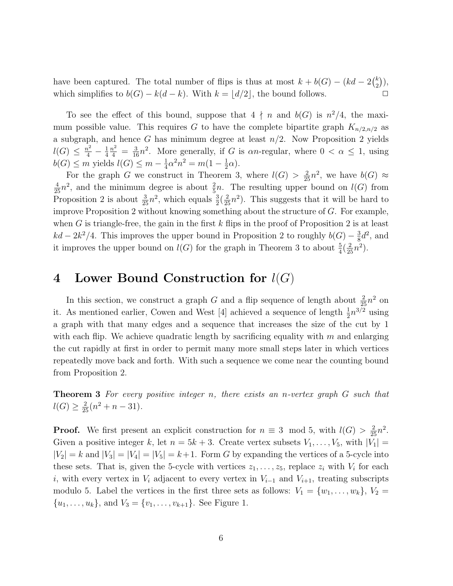have been captured. The total number of flips is thus at most  $k + b(G) - (kd - 2\binom{k}{2})$  $\binom{k}{2}$ ), which simplifies to  $b(G) - k(d - k)$ . With  $k = |d/2|$ , the bound follows.  $\Box$ 

To see the effect of this bound, suppose that  $4 \nmid n$  and  $b(G)$  is  $n^2/4$ , the maximum possible value. This requires G to have the complete bipartite graph  $K_{n/2,n/2}$  as a subgraph, and hence G has minimum degree at least  $n/2$ . Now Proposition 2 yields  $l(G) \leq \frac{n^2}{4}$  $\frac{i^2}{4} - \frac{1}{4}$  $\frac{1}{4}\frac{n^2}{4} = \frac{3}{16}n^2$ . More generally, if G is  $\alpha n$ -regular, where  $0 < \alpha \leq 1$ , using  $b(G) \leq m$  yields  $l(G) \leq m - \frac{1}{4}$  $\frac{1}{4}\alpha^2 n^2 = m(1 - \frac{1}{2})$  $rac{1}{2}\alpha$ .

For the graph G we construct in Theorem 3, where  $l(G) > \frac{2}{25}n^2$ , we have  $b(G) \approx$  $\frac{4}{25}n^2$ , and the minimum degree is about  $\frac{2}{5}n$ . The resulting upper bound on  $l(G)$  from Proposition 2 is about  $\frac{3}{25}n^2$ , which equals  $\frac{3}{2}(\frac{2}{25}n^2)$ . This suggests that it will be hard to improve Proposition 2 without knowing something about the structure of  $G$ . For example, when G is triangle-free, the gain in the first  $k$  flips in the proof of Proposition 2 is at least  $kd - 2k^2/4$ . This improves the upper bound in Proposition 2 to roughly  $b(G) - \frac{3}{8}$  $\frac{3}{8}d^2$ , and it improves the upper bound on  $l(G)$  for the graph in Theorem 3 to about  $\frac{5}{4}(\frac{2}{25}n^2)$ .

#### 4 Lower Bound Construction for  $l(G)$

In this section, we construct a graph G and a flip sequence of length about  $\frac{2}{25}n^2$  on it. As mentioned earlier, Cowen and West [4] achieved a sequence of length  $\frac{1}{2}n^{3/2}$  using a graph with that many edges and a sequence that increases the size of the cut by 1 with each flip. We achieve quadratic length by sacrificing equality with  $m$  and enlarging the cut rapidly at first in order to permit many more small steps later in which vertices repeatedly move back and forth. With such a sequence we come near the counting bound from Proposition 2.

Theorem 3 For every positive integer n, there exists an n-vertex graph G such that  $l(G) \geq \frac{2}{25}(n^2 + n - 31).$ 

**Proof.** We first present an explicit construction for  $n \equiv 3 \mod 5$ , with  $l(G) > \frac{2}{25}n^2$ . Given a positive integer k, let  $n = 5k + 3$ . Create vertex subsets  $V_1, \ldots, V_5$ , with  $|V_1|$  $|V_2| = k$  and  $|V_3| = |V_4| = |V_5| = k+1$ . Form G by expanding the vertices of a 5-cycle into these sets. That is, given the 5-cycle with vertices  $z_1, \ldots, z_5$ , replace  $z_i$  with  $V_i$  for each i, with every vertex in  $V_i$  adjacent to every vertex in  $V_{i-1}$  and  $V_{i+1}$ , treating subscripts modulo 5. Label the vertices in the first three sets as follows:  $V_1 = \{w_1, \ldots, w_k\}, V_2 =$  $\{u_1, \ldots, u_k\}$ , and  $V_3 = \{v_1, \ldots, v_{k+1}\}$ . See Figure 1.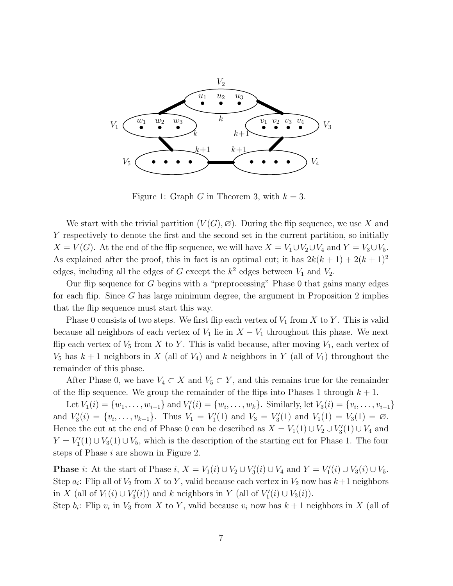

Figure 1: Graph G in Theorem 3, with  $k = 3$ .

We start with the trivial partition  $(V(G), \varnothing)$ . During the flip sequence, we use X and Y respectively to denote the first and the second set in the current partition, so initially  $X = V(G)$ . At the end of the flip sequence, we will have  $X = V_1 \cup V_2 \cup V_4$  and  $Y = V_3 \cup V_5$ . As explained after the proof, this in fact is an optimal cut; it has  $2k(k+1) + 2(k+1)^2$ edges, including all the edges of G except the  $k^2$  edges between  $V_1$  and  $V_2$ .

Our flip sequence for  $G$  begins with a "preprocessing" Phase 0 that gains many edges for each flip. Since  $G$  has large minimum degree, the argument in Proposition 2 implies that the flip sequence must start this way.

Phase 0 consists of two steps. We first flip each vertex of  $V_1$  from X to Y. This is valid because all neighbors of each vertex of  $V_1$  lie in  $X - V_1$  throughout this phase. We next flip each vertex of  $V_5$  from X to Y. This is valid because, after moving  $V_1$ , each vertex of  $V_5$  has  $k+1$  neighbors in X (all of  $V_4$ ) and k neighbors in Y (all of  $V_1$ ) throughout the remainder of this phase.

After Phase 0, we have  $V_4 \subset X$  and  $V_5 \subset Y$ , and this remains true for the remainder of the flip sequence. We group the remainder of the flips into Phases 1 through  $k + 1$ .

Let  $V_1(i) = \{w_1, \ldots, w_{i-1}\}\text{ and } V'_1$  $U_1'(i) = \{w_i, \ldots, w_k\}.$  Similarly, let  $V_3(i) = \{v_i, \ldots, v_{i-1}\}\$ and  $V_3'$  $S_3'(i) = \{v_i, \ldots, v_{k+1}\}.$  Thus  $V_1 = V_1'$  $V_1'(1)$  and  $V_3 = V_3'$  $V_3(1)$  and  $V_1(1) = V_3(1) = \emptyset$ . Hence the cut at the end of Phase 0 can be described as  $X = V_1(1) \cup V_2 \cup V'_3$  $J_3'(1) \cup V_4$  and  $Y = V_1'$  $I'_1(1) \cup V_3(1) \cup V_5$ , which is the description of the starting cut for Phase 1. The four steps of Phase i are shown in Figure 2.

**Phase** *i*: At the start of Phase *i*,  $X = V_1(i) \cup V_2 \cup V'_3$  $V'_{3}(i) \cup V_{4}$  and  $Y = V'_{1}$  $U_1'(i) \cup V_3(i) \cup V_5.$ Step  $a_i$ : Flip all of  $V_2$  from X to Y, valid because each vertex in  $V_2$  now has  $k+1$  neighbors in X (all of  $V_1(i) \cup V'_3$  $S'_3(i)$  and k neighbors in Y (all of  $V'_1$ )  $V_1'(i) \cup V_3(i)$ .

Step  $b_i$ : Flip  $v_i$  in  $V_3$  from X to Y, valid because  $v_i$  now has  $k+1$  neighbors in X (all of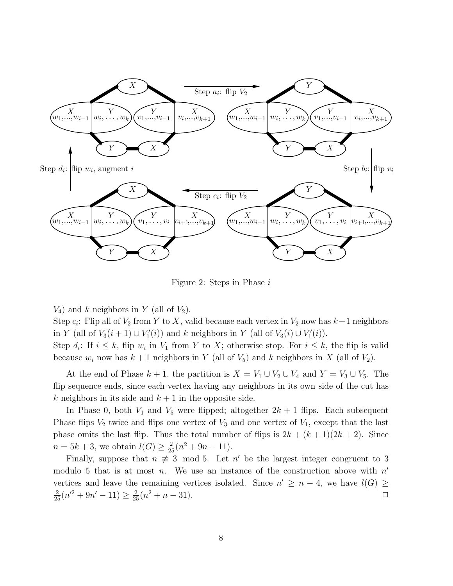

Figure 2: Steps in Phase i

 $V_4$ ) and k neighbors in Y (all of  $V_2$ ).

Step  $c_i$ : Flip all of  $V_2$  from Y to X, valid because each vertex in  $V_2$  now has  $k+1$  neighbors in Y (all of  $V_3(i+1) \cup V'_1$  $Y'_1(i)$  and k neighbors in Y (all of  $V_3(i) \cup V'_1$  $'_{1}(i)).$ 

Step  $d_i$ : If  $i \leq k$ , flip  $w_i$  in  $V_1$  from Y to X; otherwise stop. For  $i \leq k$ , the flip is valid because  $w_i$  now has  $k+1$  neighbors in Y (all of  $V_5$ ) and k neighbors in X (all of  $V_2$ ).

At the end of Phase  $k + 1$ , the partition is  $X = V_1 \cup V_2 \cup V_4$  and  $Y = V_3 \cup V_5$ . The flip sequence ends, since each vertex having any neighbors in its own side of the cut has k neighbors in its side and  $k + 1$  in the opposite side.

In Phase 0, both  $V_1$  and  $V_5$  were flipped; altogether  $2k + 1$  flips. Each subsequent Phase flips  $V_2$  twice and flips one vertex of  $V_3$  and one vertex of  $V_1$ , except that the last phase omits the last flip. Thus the total number of flips is  $2k + (k+1)(2k+2)$ . Since  $n = 5k + 3$ , we obtain  $l(G) \geq \frac{2}{25}(n^2 + 9n - 11)$ .

Finally, suppose that  $n \neq 3 \mod 5$ . Let  $n'$  be the largest integer congruent to 3 modulo 5 that is at most *n*. We use an instance of the construction above with  $n'$ vertices and leave the remaining vertices isolated. Since  $n' \geq n-4$ , we have  $l(G) \geq$  $\frac{2}{25}(n^2+9n'-11) \ge \frac{2}{25}(n^2+n-31).$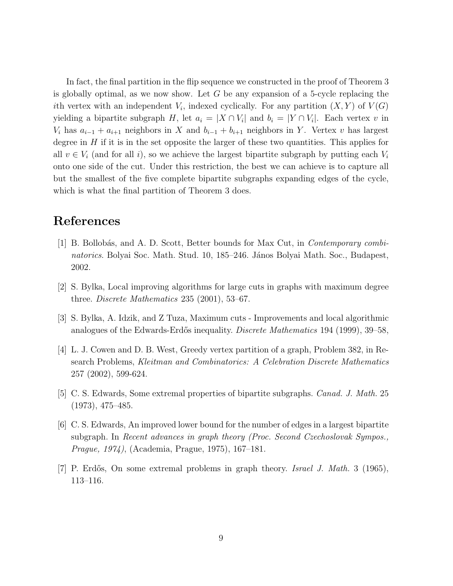In fact, the final partition in the flip sequence we constructed in the proof of Theorem 3 is globally optimal, as we now show. Let  $G$  be any expansion of a 5-cycle replacing the ith vertex with an independent  $V_i$ , indexed cyclically. For any partition  $(X, Y)$  of  $V(G)$ yielding a bipartite subgraph H, let  $a_i = |X \cap V_i|$  and  $b_i = |Y \cap V_i|$ . Each vertex v in  $V_i$  has  $a_{i-1} + a_{i+1}$  neighbors in X and  $b_{i-1} + b_{i+1}$  neighbors in Y. Vertex v has largest degree in  $H$  if it is in the set opposite the larger of these two quantities. This applies for all  $v \in V_i$  (and for all i), so we achieve the largest bipartite subgraph by putting each  $V_i$ onto one side of the cut. Under this restriction, the best we can achieve is to capture all but the smallest of the five complete bipartite subgraphs expanding edges of the cycle, which is what the final partition of Theorem 3 does.

#### References

- [1] B. Bollobás, and A. D. Scott, Better bounds for Max Cut, in *Contemporary combi*natorics. Bolyai Soc. Math. Stud. 10, 185–246. János Bolyai Math. Soc., Budapest, 2002.
- [2] S. Bylka, Local improving algorithms for large cuts in graphs with maximum degree three. Discrete Mathematics 235 (2001), 53–67.
- [3] S. Bylka, A. Idzik, and Z Tuza, Maximum cuts Improvements and local algorithmic analogues of the Edwards-Erdős inequality. *Discrete Mathematics* 194 (1999), 39–58,
- [4] L. J. Cowen and D. B. West, Greedy vertex partition of a graph, Problem 382, in Research Problems, Kleitman and Combinatorics: A Celebration Discrete Mathematics 257 (2002), 599-624.
- [5] C. S. Edwards, Some extremal properties of bipartite subgraphs. Canad. J. Math. 25 (1973), 475–485.
- [6] C. S. Edwards, An improved lower bound for the number of edges in a largest bipartite subgraph. In Recent advances in graph theory (Proc. Second Czechoslovak Sympos., Prague, 1974), (Academia, Prague, 1975), 167–181.
- [7] P. Erdős, On some extremal problems in graph theory. Israel J. Math. 3 (1965), 113–116.